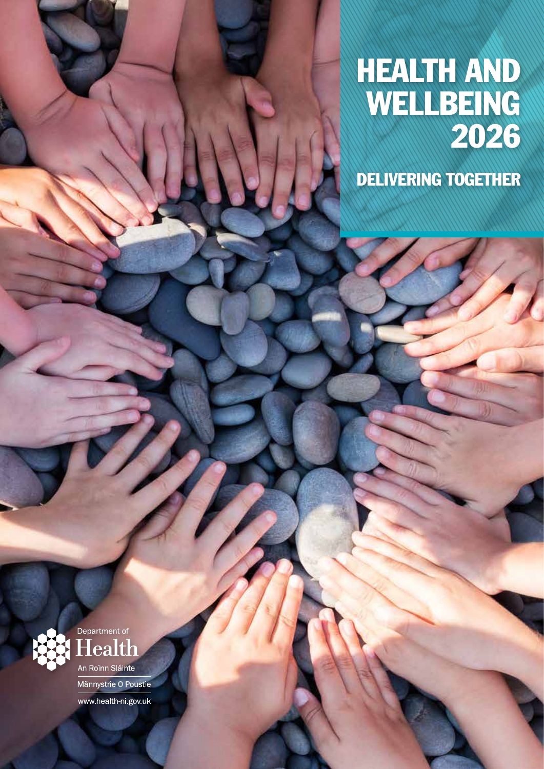## HEALTH AND WELLBEING 2026

DELIVERING TOGETHER





Männystrie O Poustie www.health-ni.gov.uk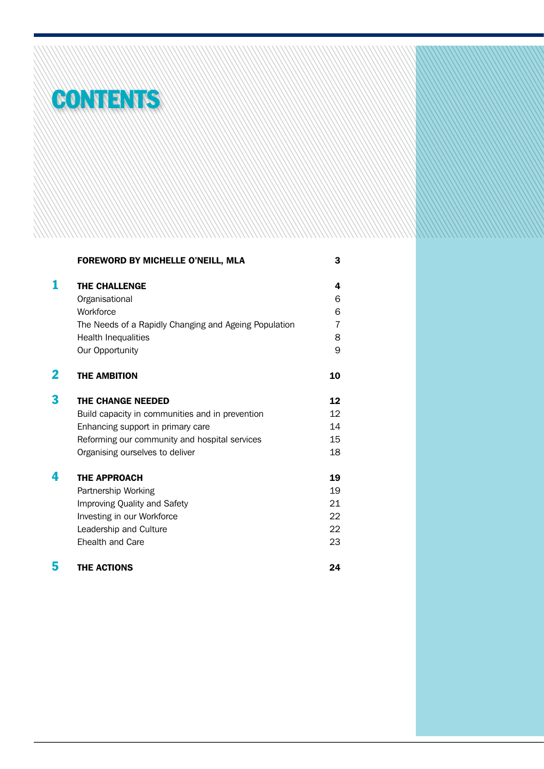

|   | FOREWORD BY MICHELLE O'NEILL, MLA                     | 3              |
|---|-------------------------------------------------------|----------------|
|   | <b>THE CHALLENGE</b>                                  | 4              |
|   | Organisational                                        | 6              |
|   | Workforce                                             | 6              |
|   | The Needs of a Rapidly Changing and Ageing Population | $\overline{7}$ |
|   | <b>Health Inequalities</b>                            | 8              |
|   | Our Opportunity                                       | 9              |
| 2 | <b>THE AMBITION</b>                                   | 10             |
| 3 | <b>THE CHANGE NEEDED</b>                              | 12             |
|   | Build capacity in communities and in prevention       | 12             |
|   | Enhancing support in primary care                     | 14             |
|   | Reforming our community and hospital services         | 15             |
|   | Organising ourselves to deliver                       | 18             |
| 4 | <b>THE APPROACH</b>                                   | 19             |
|   | Partnership Working                                   | 19             |
|   | Improving Quality and Safety                          | 21             |
|   | Investing in our Workforce                            | 22             |
|   | Leadership and Culture                                | 22             |
|   | Ehealth and Care                                      | 23             |
| 5 | <b>THE ACTIONS</b>                                    | 24             |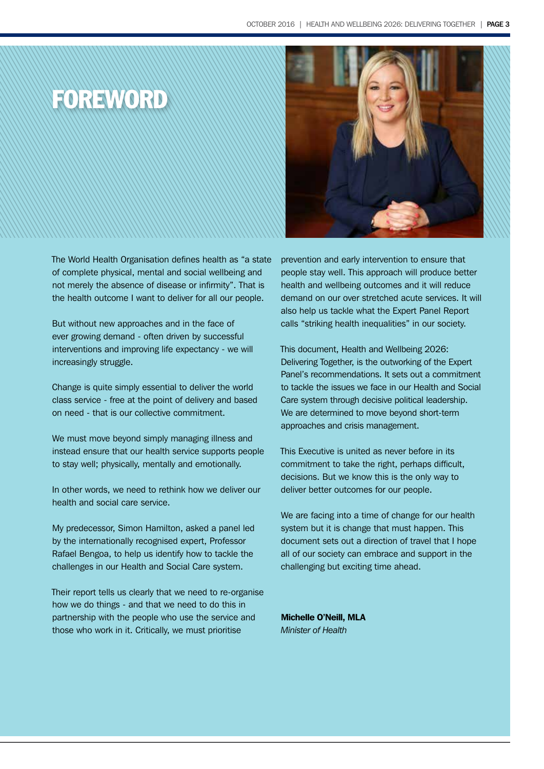



The World Health Organisation defines health as "a state of complete physical, mental and social wellbeing and not merely the absence of disease or infirmity". That is the health outcome I want to deliver for all our people.

But without new approaches and in the face of ever growing demand - often driven by successful interventions and improving life expectancy - we will increasingly struggle.

Change is quite simply essential to deliver the world class service - free at the point of delivery and based on need - that is our collective commitment.

We must move beyond simply managing illness and instead ensure that our health service supports people to stay well; physically, mentally and emotionally.

In other words, we need to rethink how we deliver our health and social care service.

My predecessor, Simon Hamilton, asked a panel led by the internationally recognised expert, Professor Rafael Bengoa, to help us identify how to tackle the challenges in our Health and Social Care system.

Their report tells us clearly that we need to re-organise how we do things - and that we need to do this in partnership with the people who use the service and those who work in it. Critically, we must prioritise

prevention and early intervention to ensure that people stay well. This approach will produce better health and wellbeing outcomes and it will reduce demand on our over stretched acute services. It will also help us tackle what the Expert Panel Report calls "striking health inequalities" in our society.

This document, Health and Wellbeing 2026: Delivering Together, is the outworking of the Expert Panel's recommendations. It sets out a commitment to tackle the issues we face in our Health and Social Care system through decisive political leadership. We are determined to move beyond short-term approaches and crisis management.

This Executive is united as never before in its commitment to take the right, perhaps difficult, decisions. But we know this is the only way to deliver better outcomes for our people.

We are facing into a time of change for our health system but it is change that must happen. This document sets out a direction of travel that I hope all of our society can embrace and support in the challenging but exciting time ahead.

Michelle O'Neill, MLA *Minister of Health*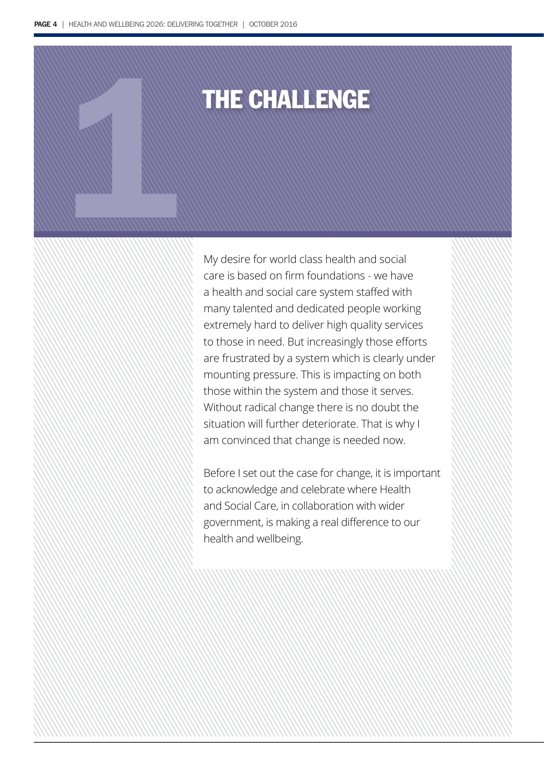# 1THE CHALLENGE

My desire for world class health and social care is based on firm foundations - we have a health and social care system staffed with many talented and dedicated people working extremely hard to deliver high quality services to those in need. But increasingly those efforts are frustrated by a system which is clearly under mounting pressure. This is impacting on both those within the system and those it serves. Without radical change there is no doubt the situation will further deteriorate. That is why I am convinced that change is needed now.

Before I set out the case for change, it is important to acknowledge and celebrate where Health and Social Care, in collaboration with wider government, is making a real difference to our health and wellbeing.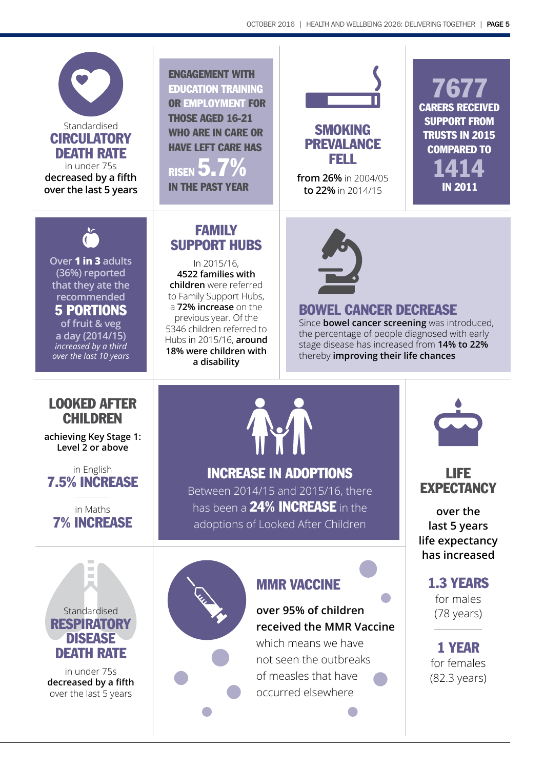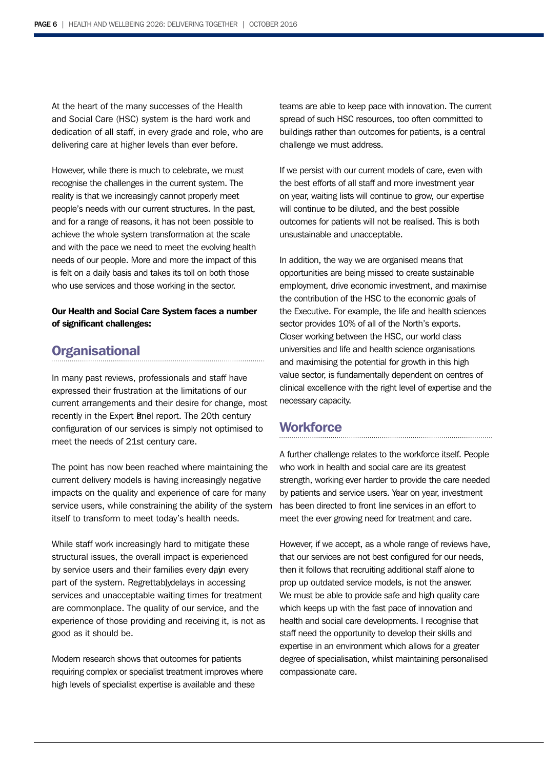At the heart of the many successes of the Health and Social Care (HSC) system is the hard work and dedication of all staff, in every grade and role, who are delivering care at higher levels than ever before.

However, while there is much to celebrate, we must recognise the challenges in the current system. The reality is that we increasingly cannot properly meet people's needs with our current structures. In the past, and for a range of reasons, it has not been possible to achieve the whole system transformation at the scale and with the pace we need to meet the evolving health needs of our people. More and more the impact of this is felt on a daily basis and takes its toll on both those who use services and those working in the sector.

### Our Health and Social Care System faces a number of significant challenges:

### **Organisational**

In many past reviews, professionals and staff have expressed their frustration at the limitations of our current arrangements and their desire for change, most recently in the Expert anel report. The 20th century configuration of our services is simply not optimised to meet the needs of 21st century care.

The point has now been reached where maintaining the current delivery models is having increasingly negative impacts on the quality and experience of care for many service users, while constraining the ability of the system itself to transform to meet today's health needs.

While staff work increasingly hard to mitigate these structural issues, the overall impact is experienced by service users and their families every day nevery part of the system. Regrettablydelays in accessing services and unacceptable waiting times for treatment are commonplace. The quality of our service, and the experience of those providing and receiving it, is not as good as it should be.

Modern research shows that outcomes for patients requiring complex or specialist treatment improves where high levels of specialist expertise is available and these

teams are able to keep pace with innovation. The current spread of such HSC resources, too often committed to buildings rather than outcomes for patients, is a central challenge we must address.

If we persist with our current models of care, even with the best efforts of all staff and more investment year on year, waiting lists will continue to grow, our expertise will continue to be diluted, and the best possible outcomes for patients will not be realised. This is both unsustainable and unacceptable.

In addition, the way we are organised means that opportunities are being missed to create sustainable employment, drive economic investment, and maximise the contribution of the HSC to the economic goals of the Executive. For example, the life and health sciences sector provides 10% of all of the North's exports. Closer working between the HSC, our world class universities and life and health science organisations and maximising the potential for growth in this high value sector, is fundamentally dependent on centres of clinical excellence with the right level of expertise and the necessary capacity.

### **Workforce**

A further challenge relates to the workforce itself. People who work in health and social care are its greatest strength, working ever harder to provide the care needed by patients and service users. Year on year, investment has been directed to front line services in an effort to meet the ever growing need for treatment and care.

However, if we accept, as a whole range of reviews have, that our services are not best configured for our needs, then it follows that recruiting additional staff alone to prop up outdated service models, is not the answer. We must be able to provide safe and high quality care which keeps up with the fast pace of innovation and health and social care developments. I recognise that staff need the opportunity to develop their skills and expertise in an environment which allows for a greater degree of specialisation, whilst maintaining personalised compassionate care.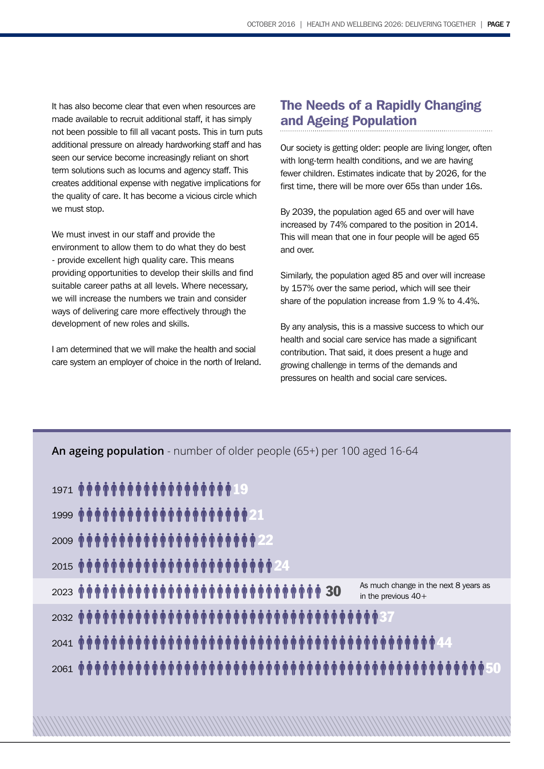It has also become clear that even when resources are made available to recruit additional staff, it has simply not been possible to fill all vacant posts. This in turn puts additional pressure on already hardworking staff and has seen our service become increasingly reliant on short term solutions such as locums and agency staff. This creates additional expense with negative implications for the quality of care. It has become a vicious circle which we must stop.

We must invest in our staff and provide the environment to allow them to do what they do best - provide excellent high quality care. This means providing opportunities to develop their skills and find suitable career paths at all levels. Where necessary, we will increase the numbers we train and consider ways of delivering care more effectively through the development of new roles and skills.

I am determined that we will make the health and social care system an employer of choice in the north of Ireland.

### The Needs of a Rapidly Changing and Ageing Population

Our society is getting older: people are living longer, often with long-term health conditions, and we are having fewer children. Estimates indicate that by 2026, for the first time, there will be more over 65s than under 16s.

By 2039, the population aged 65 and over will have increased by 74% compared to the position in 2014. This will mean that one in four people will be aged 65 and over.

Similarly, the population aged 85 and over will increase by 157% over the same period, which will see their share of the population increase from 1.9 % to 4.4%.

By any analysis, this is a massive success to which our health and social care service has made a significant contribution. That said, it does present a huge and growing challenge in terms of the demands and pressures on health and social care services.

| An ageing population - number of older people (65+) per 100 aged 16-64 |  |  |  |  |
|------------------------------------------------------------------------|--|--|--|--|
| 1971 <b>MMMMMMMMMMMMMMMMMMMMMMMMMMMMM</b>                              |  |  |  |  |
|                                                                        |  |  |  |  |
|                                                                        |  |  |  |  |
|                                                                        |  |  |  |  |
| As much change in the next 8 years as<br>in the previous $40+$         |  |  |  |  |
|                                                                        |  |  |  |  |
|                                                                        |  |  |  |  |
|                                                                        |  |  |  |  |
|                                                                        |  |  |  |  |
|                                                                        |  |  |  |  |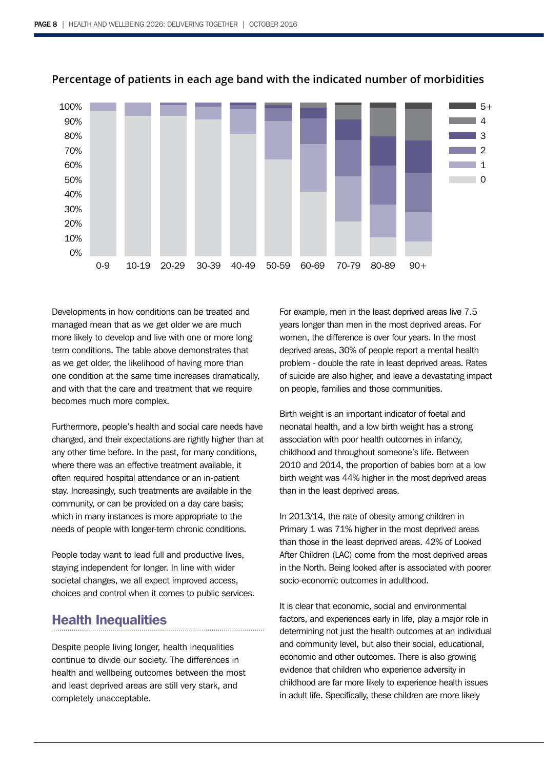

### **Percentage of patients in each age band with the indicated number of morbidities**

Developments in how conditions can be treated and managed mean that as we get older we are much more likely to develop and live with one or more long term conditions. The table above demonstrates that as we get older, the likelihood of having more than one condition at the same time increases dramatically, and with that the care and treatment that we require becomes much more complex.

Furthermore, people's health and social care needs have changed, and their expectations are rightly higher than at any other time before. In the past, for many conditions, where there was an effective treatment available, it often required hospital attendance or an in-patient stay. Increasingly, such treatments are available in the community, or can be provided on a day care basis; which in many instances is more appropriate to the needs of people with longer-term chronic conditions.

People today want to lead full and productive lives, staying independent for longer. In line with wider societal changes, we all expect improved access, choices and control when it comes to public services.

### Health Inequalities

Despite people living longer, health inequalities continue to divide our society. The differences in health and wellbeing outcomes between the most and least deprived areas are still very stark, and completely unacceptable.

For example, men in the least deprived areas live 7.5 years longer than men in the most deprived areas. For women, the difference is over four years. In the most deprived areas, 30% of people report a mental health problem - double the rate in least deprived areas. Rates of suicide are also higher, and leave a devastating impact on people, families and those communities.

Birth weight is an important indicator of foetal and neonatal health, and a low birth weight has a strong association with poor health outcomes in infancy, childhood and throughout someone's life. Between 2010 and 2014, the proportion of babies born at a low birth weight was 44% higher in the most deprived areas than in the least deprived areas.

In 2013/14, the rate of obesity among children in Primary 1 was 71% higher in the most deprived areas than those in the least deprived areas. 42% of Looked After Children (LAC) come from the most deprived areas in the North. Being looked after is associated with poorer socio-economic outcomes in adulthood.

It is clear that economic, social and environmental factors, and experiences early in life, play a major role in determining not just the health outcomes at an individual and community level, but also their social, educational, economic and other outcomes. There is also growing evidence that children who experience adversity in childhood are far more likely to experience health issues in adult life. Specifically, these children are more likely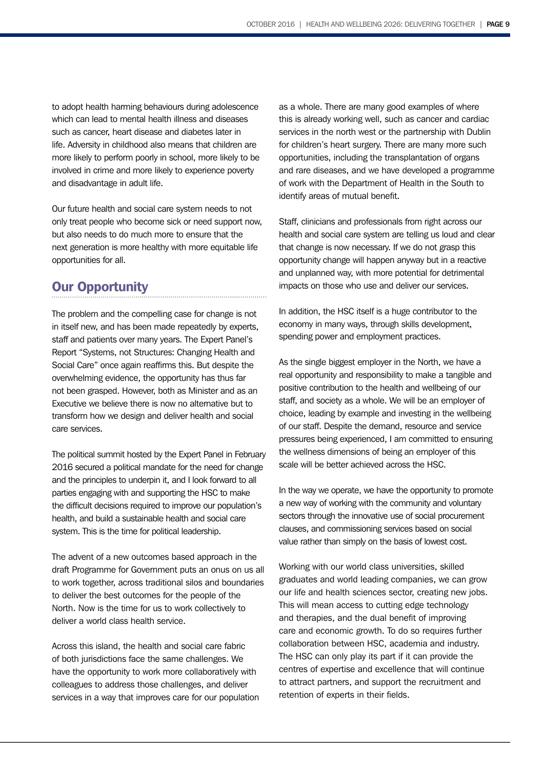to adopt health harming behaviours during adolescence which can lead to mental health illness and diseases such as cancer, heart disease and diabetes later in life. Adversity in childhood also means that children are more likely to perform poorly in school, more likely to be involved in crime and more likely to experience poverty and disadvantage in adult life.

Our future health and social care system needs to not only treat people who become sick or need support now, but also needs to do much more to ensure that the next generation is more healthy with more equitable life opportunities for all.

### Our Opportunity

The problem and the compelling case for change is not in itself new, and has been made repeatedly by experts, staff and patients over many years. The Expert Panel's Report "Systems, not Structures: Changing Health and Social Care" once again reaffirms this. But despite the overwhelming evidence, the opportunity has thus far not been grasped. However, both as Minister and as an Executive we believe there is now no alternative but to transform how we design and deliver health and social care services.

The political summit hosted by the Expert Panel in February 2016 secured a political mandate for the need for change and the principles to underpin it, and I look forward to all parties engaging with and supporting the HSC to make the difficult decisions required to improve our population's health, and build a sustainable health and social care system. This is the time for political leadership.

The advent of a new outcomes based approach in the draft Programme for Government puts an onus on us all to work together, across traditional silos and boundaries to deliver the best outcomes for the people of the North. Now is the time for us to work collectively to deliver a world class health service.

Across this island, the health and social care fabric of both jurisdictions face the same challenges. We have the opportunity to work more collaboratively with colleagues to address those challenges, and deliver services in a way that improves care for our population as a whole. There are many good examples of where this is already working well, such as cancer and cardiac services in the north west or the partnership with Dublin for children's heart surgery. There are many more such opportunities, including the transplantation of organs and rare diseases, and we have developed a programme of work with the Department of Health in the South to identify areas of mutual benefit.

Staff, clinicians and professionals from right across our health and social care system are telling us loud and clear that change is now necessary. If we do not grasp this opportunity change will happen anyway but in a reactive and unplanned way, with more potential for detrimental impacts on those who use and deliver our services.

In addition, the HSC itself is a huge contributor to the economy in many ways, through skills development, spending power and employment practices.

As the single biggest employer in the North, we have a real opportunity and responsibility to make a tangible and positive contribution to the health and wellbeing of our staff, and society as a whole. We will be an employer of choice, leading by example and investing in the wellbeing of our staff. Despite the demand, resource and service pressures being experienced, I am committed to ensuring the wellness dimensions of being an employer of this scale will be better achieved across the HSC.

In the way we operate, we have the opportunity to promote a new way of working with the community and voluntary sectors through the innovative use of social procurement clauses, and commissioning services based on social value rather than simply on the basis of lowest cost.

Working with our world class universities, skilled graduates and world leading companies, we can grow our life and health sciences sector, creating new jobs. This will mean access to cutting edge technology and therapies, and the dual benefit of improving care and economic growth. To do so requires further collaboration between HSC, academia and industry. The HSC can only play its part if it can provide the centres of expertise and excellence that will continue to attract partners, and support the recruitment and retention of experts in their fields.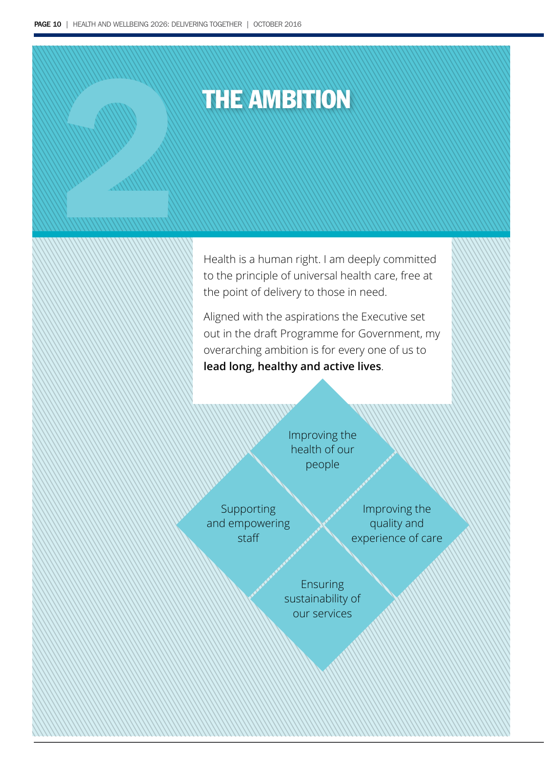# THE AMBITION 2

Health is a human right. I am deeply committed to the principle of universal health care, free at the point of delivery to those in need.

Aligned with the aspirations the Executive set out in the draft Programme for Government, my overarching ambition is for every one of us to **lead long, healthy and active lives**.

> Improving the health of our people

Supporting and empowering staff

Improving the quality and experience of care

Ensuring sustainability of our services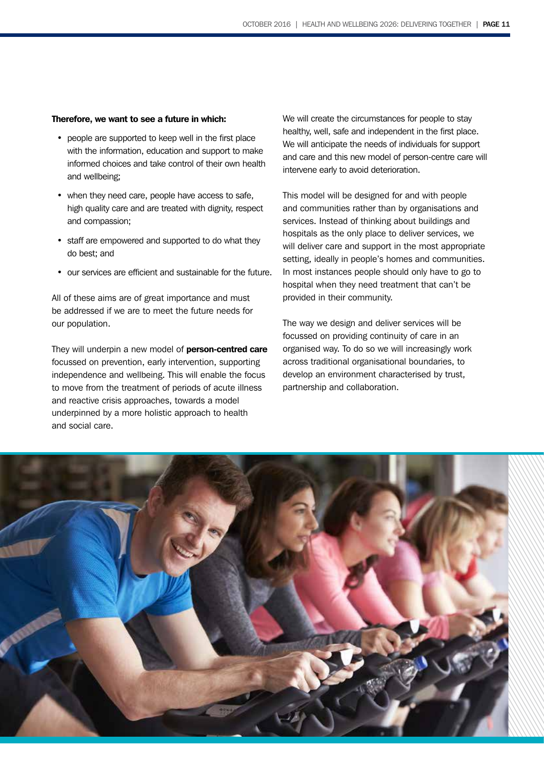### Therefore, we want to see a future in which:

- people are supported to keep well in the first place with the information, education and support to make informed choices and take control of their own health and wellbeing;
- when they need care, people have access to safe, high quality care and are treated with dignity, respect and compassion;
- staff are empowered and supported to do what they do best; and
- our services are efficient and sustainable for the future.

All of these aims are of great importance and must be addressed if we are to meet the future needs for our population.

They will underpin a new model of person-centred care focussed on prevention, early intervention, supporting independence and wellbeing. This will enable the focus to move from the treatment of periods of acute illness and reactive crisis approaches, towards a model underpinned by a more holistic approach to health and social care.

We will create the circumstances for people to stay healthy, well, safe and independent in the first place. We will anticipate the needs of individuals for support and care and this new model of person-centre care will intervene early to avoid deterioration.

This model will be designed for and with people and communities rather than by organisations and services. Instead of thinking about buildings and hospitals as the only place to deliver services, we will deliver care and support in the most appropriate setting, ideally in people's homes and communities. In most instances people should only have to go to hospital when they need treatment that can't be provided in their community.

The way we design and deliver services will be focussed on providing continuity of care in an organised way. To do so we will increasingly work across traditional organisational boundaries, to develop an environment characterised by trust, partnership and collaboration.

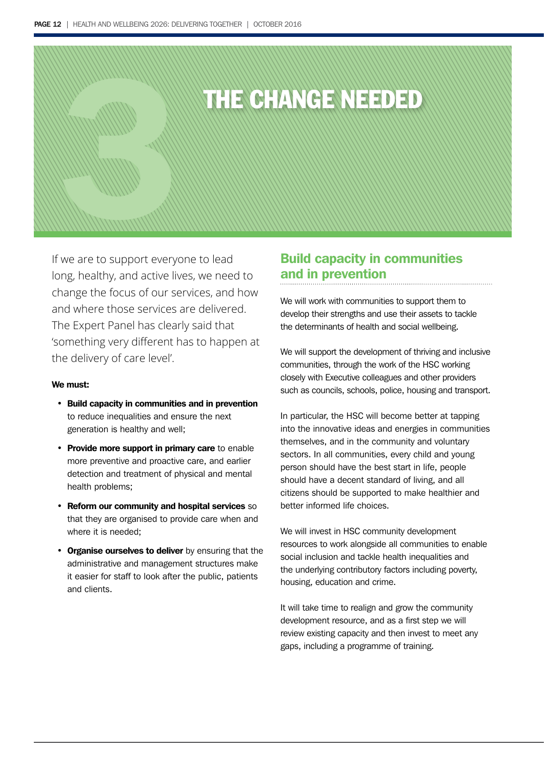# THE CHANGE NEEDED 3

If we are to support everyone to lead long, healthy, and active lives, we need to change the focus of our services, and how and where those services are delivered. The Expert Panel has clearly said that 'something very different has to happen at the delivery of care level'.

### We must:

- Build capacity in communities and in prevention to reduce inequalities and ensure the next generation is healthy and well;
- Provide more support in primary care to enable more preventive and proactive care, and earlier detection and treatment of physical and mental health problems;
- Reform our community and hospital services so that they are organised to provide care when and where it is needed;
- Organise ourselves to deliver by ensuring that the administrative and management structures make it easier for staff to look after the public, patients and clients.

### Build capacity in communities and in prevention

We will work with communities to support them to develop their strengths and use their assets to tackle the determinants of health and social wellbeing.

We will support the development of thriving and inclusive communities, through the work of the HSC working closely with Executive colleagues and other providers such as councils, schools, police, housing and transport.

In particular, the HSC will become better at tapping into the innovative ideas and energies in communities themselves, and in the community and voluntary sectors. In all communities, every child and young person should have the best start in life, people should have a decent standard of living, and all citizens should be supported to make healthier and better informed life choices.

We will invest in HSC community development resources to work alongside all communities to enable social inclusion and tackle health inequalities and the underlying contributory factors including poverty, housing, education and crime.

It will take time to realign and grow the community development resource, and as a first step we will review existing capacity and then invest to meet any gaps, including a programme of training.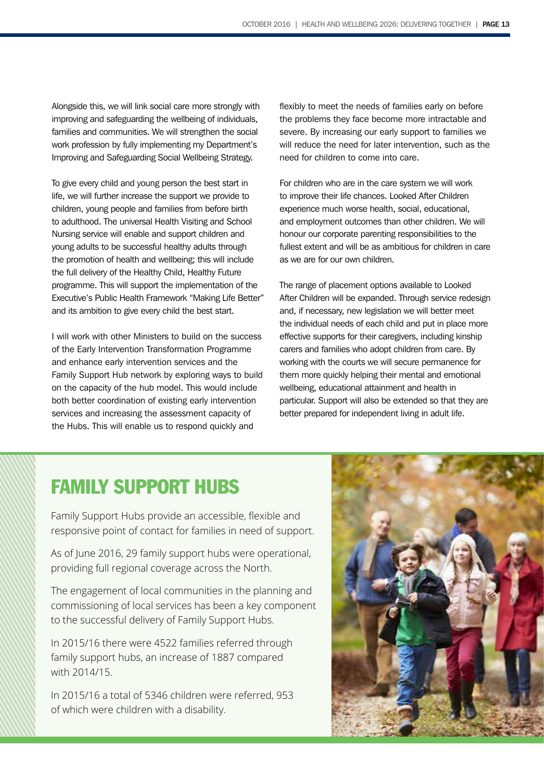Alongside this, we will link social care more strongly with improving and safeguarding the wellbeing of individuals, families and communities. We will strengthen the social work profession by fully implementing my Department's Improving and Safeguarding Social Wellbeing Strategy.

To give every child and young person the best start in life, we will further increase the support we provide to children, young people and families from before birth to adulthood. The universal Health Visiting and School Nursing service will enable and support children and young adults to be successful healthy adults through the promotion of health and wellbeing; this will include the full delivery of the Healthy Child, Healthy Future programme. This will support the implementation of the Executive's Public Health Framework "Making Life Better" and its ambition to give every child the best start.

I will work with other Ministers to build on the success of the Early Intervention Transformation Programme and enhance early intervention services and the Family Support Hub network by exploring ways to build on the capacity of the hub model. This would include both better coordination of existing early intervention services and increasing the assessment capacity of the Hubs. This will enable us to respond quickly and

flexibly to meet the needs of families early on before the problems they face become more intractable and severe. By increasing our early support to families we will reduce the need for later intervention, such as the need for children to come into care.

For children who are in the care system we will work to improve their life chances. Looked After Children experience much worse health, social, educational, and employment outcomes than other children. We will honour our corporate parenting responsibilities to the fullest extent and will be as ambitious for children in care as we are for our own children.

The range of placement options available to Looked After Children will be expanded. Through service redesign and, if necessary, new legislation we will better meet the individual needs of each child and put in place more effective supports for their caregivers, including kinship carers and families who adopt children from care. By working with the courts we will secure permanence for them more quickly helping their mental and emotional wellbeing, educational attainment and health in particular. Support will also be extended so that they are better prepared for independent living in adult life.

### FAMILY SUPPORT HUBS FAMILY SUPPORT HUBS

Family Support Hubs provide an accessible, flexible and As at June 2016, 29 family support hubs were operational, responsive point of contact for families in need of support.

As of June 2016, 29 family support hubs were operational, The engagement of local communities in the planning and providing full regional coverage across the North.

The engagement of local communities in the planning and commissioning of local services has been a key component In 2015/16 there were 4522 families referred through family to the successful delivery of Family Support Hubs.

In 2015/16 there were 4522 families referred through  $\frac{1}{2}$  with 2014/15. family support hubs, an increase of 1887 compared

In 2015/16 a total of 5346 children were referred, 953 of which were children with a disability.

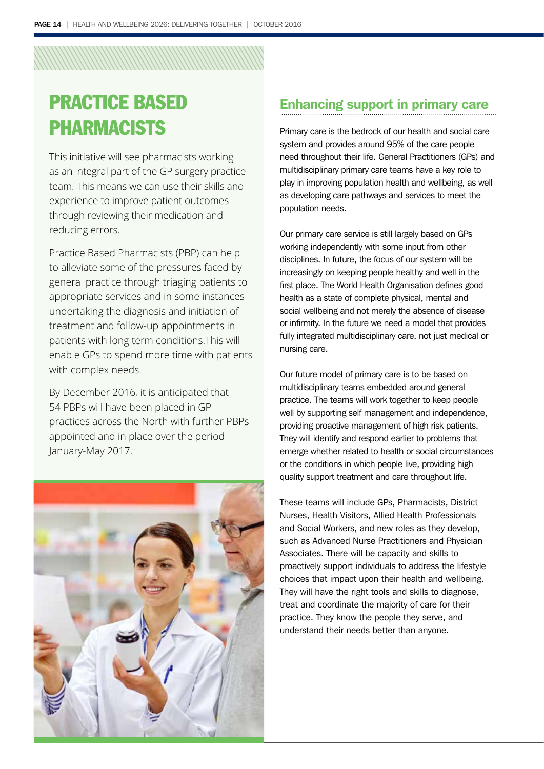## PRACTICE BASED PHARMACISTS

This initiative will see pharmacists working as an integral part of the GP surgery practice team. This means we can use their skills and experience to improve patient outcomes through reviewing their medication and reducing errors.

Practice Based Pharmacists (PBP) can help to alleviate some of the pressures faced by general practice through triaging patients to appropriate services and in some instances undertaking the diagnosis and initiation of treatment and follow-up appointments in patients with long term conditions.This will enable GPs to spend more time with patients with complex needs.

By December 2016, it is anticipated that 54 PBPs will have been placed in GP practices across the North with further PBPs appointed and in place over the period January-May 2017.



### Enhancing support in primary care

Primary care is the bedrock of our health and social care system and provides around 95% of the care people need throughout their life. General Practitioners (GPs) and multidisciplinary primary care teams have a key role to play in improving population health and wellbeing, as well as developing care pathways and services to meet the population needs.

Our primary care service is still largely based on GPs working independently with some input from other disciplines. In future, the focus of our system will be increasingly on keeping people healthy and well in the first place. The World Health Organisation defines good health as a state of complete physical, mental and social wellbeing and not merely the absence of disease or infirmity. In the future we need a model that provides fully integrated multidisciplinary care, not just medical or nursing care.

Our future model of primary care is to be based on multidisciplinary teams embedded around general practice. The teams will work together to keep people well by supporting self management and independence, providing proactive management of high risk patients. They will identify and respond earlier to problems that emerge whether related to health or social circumstances or the conditions in which people live, providing high quality support treatment and care throughout life.

These teams will include GPs, Pharmacists, District Nurses, Health Visitors, Allied Health Professionals and Social Workers, and new roles as they develop, such as Advanced Nurse Practitioners and Physician Associates. There will be capacity and skills to proactively support individuals to address the lifestyle choices that impact upon their health and wellbeing. They will have the right tools and skills to diagnose, treat and coordinate the majority of care for their practice. They know the people they serve, and understand their needs better than anyone.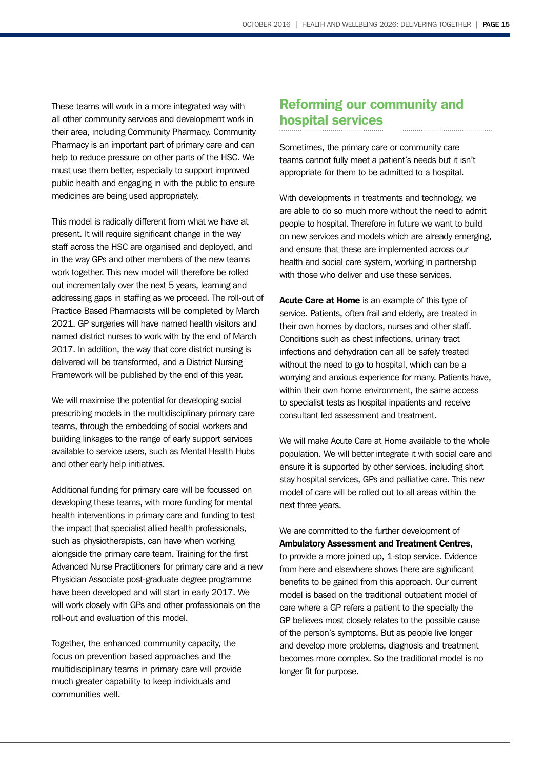These teams will work in a more integrated way with all other community services and development work in their area, including Community Pharmacy. Community Pharmacy is an important part of primary care and can help to reduce pressure on other parts of the HSC. We must use them better, especially to support improved public health and engaging in with the public to ensure medicines are being used appropriately.

This model is radically different from what we have at present. It will require significant change in the way staff across the HSC are organised and deployed, and in the way GPs and other members of the new teams work together. This new model will therefore be rolled out incrementally over the next 5 years, learning and addressing gaps in staffing as we proceed. The roll-out of Practice Based Pharmacists will be completed by March 2021. GP surgeries will have named health visitors and named district nurses to work with by the end of March 2017. In addition, the way that core district nursing is delivered will be transformed, and a District Nursing Framework will be published by the end of this year.

We will maximise the potential for developing social prescribing models in the multidisciplinary primary care teams, through the embedding of social workers and building linkages to the range of early support services available to service users, such as Mental Health Hubs and other early help initiatives.

Additional funding for primary care will be focussed on developing these teams, with more funding for mental health interventions in primary care and funding to test the impact that specialist allied health professionals, such as physiotherapists, can have when working alongside the primary care team. Training for the first Advanced Nurse Practitioners for primary care and a new Physician Associate post-graduate degree programme have been developed and will start in early 2017. We will work closely with GPs and other professionals on the roll-out and evaluation of this model.

Together, the enhanced community capacity, the focus on prevention based approaches and the multidisciplinary teams in primary care will provide much greater capability to keep individuals and communities well.

### Reforming our community and hospital services

Sometimes, the primary care or community care teams cannot fully meet a patient's needs but it isn't appropriate for them to be admitted to a hospital.

With developments in treatments and technology, we are able to do so much more without the need to admit people to hospital. Therefore in future we want to build on new services and models which are already emerging, and ensure that these are implemented across our health and social care system, working in partnership with those who deliver and use these services.

Acute Care at Home is an example of this type of service. Patients, often frail and elderly, are treated in their own homes by doctors, nurses and other staff. Conditions such as chest infections, urinary tract infections and dehydration can all be safely treated without the need to go to hospital, which can be a worrying and anxious experience for many. Patients have, within their own home environment, the same access to specialist tests as hospital inpatients and receive consultant led assessment and treatment.

We will make Acute Care at Home available to the whole population. We will better integrate it with social care and ensure it is supported by other services, including short stay hospital services, GPs and palliative care. This new model of care will be rolled out to all areas within the next three years.

We are committed to the further development of Ambulatory Assessment and Treatment Centres, to provide a more joined up, 1-stop service. Evidence from here and elsewhere shows there are significant benefits to be gained from this approach. Our current model is based on the traditional outpatient model of care where a GP refers a patient to the specialty the GP believes most closely relates to the possible cause of the person's symptoms. But as people live longer and develop more problems, diagnosis and treatment becomes more complex. So the traditional model is no longer fit for purpose.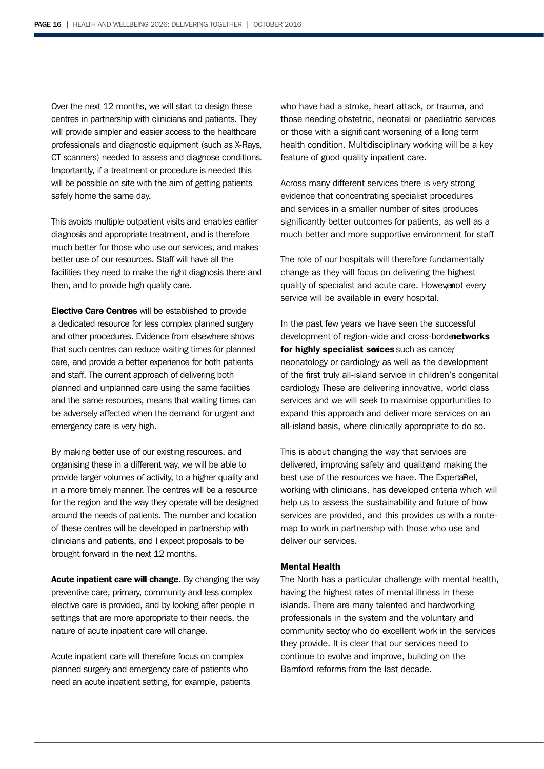Over the next 12 months, we will start to design these centres in partnership with clinicians and patients. They will provide simpler and easier access to the healthcare professionals and diagnostic equipment (such as X-Rays, CT scanners) needed to assess and diagnose conditions. Importantly, if a treatment or procedure is needed this will be possible on site with the aim of getting patients safely home the same day.

This avoids multiple outpatient visits and enables earlier diagnosis and appropriate treatment, and is therefore much better for those who use our services, and makes better use of our resources. Staff will have all the facilities they need to make the right diagnosis there and then, and to provide high quality care.

Elective Care Centres will be established to provide a dedicated resource for less complex planned surgery and other procedures. Evidence from elsewhere shows that such centres can reduce waiting times for planned care, and provide a better experience for both patients and staff. The current approach of delivering both planned and unplanned care using the same facilities and the same resources, means that waiting times can be adversely affected when the demand for urgent and emergency care is very high.

By making better use of our existing resources, and organising these in a different way, we will be able to provide larger volumes of activity, to a higher quality and in a more timely manner. The centres will be a resource for the region and the way they operate will be designed around the needs of patients. The number and location of these centres will be developed in partnership with clinicians and patients, and I expect proposals to be brought forward in the next 12 months.

Acute inpatient care will change. By changing the way preventive care, primary, community and less complex elective care is provided, and by looking after people in settings that are more appropriate to their needs, the nature of acute inpatient care will change.

Acute inpatient care will therefore focus on complex planned surgery and emergency care of patients who need an acute inpatient setting, for example, patients who have had a stroke, heart attack, or trauma, and those needing obstetric, neonatal or paediatric services or those with a significant worsening of a long term health condition. Multidisciplinary working will be a key feature of good quality inpatient care.

Across many different services there is very strong evidence that concentrating specialist procedures and services in a smaller number of sites produces significantly better outcomes for patients, as well as a much better and more supportive environment for staff

The role of our hospitals will therefore fundamentally change as they will focus on delivering the highest quality of specialist and acute care. However ot every service will be available in every hospital.

In the past few years we have seen the successful development of region-wide and cross-bordenetworks for highly specialist serices such as cancer neonatology or cardiology as well as the development of the first truly all-island service in children's congenital cardiology. These are delivering innovative, world class services and we will seek to maximise opportunities to expand this approach and deliver more services on an all-island basis, where clinically appropriate to do so.

This is about changing the way that services are delivered, improving safety and quality and making the best use of the resources we have. The Expertamel, working with clinicians, has developed criteria which will help us to assess the sustainability and future of how services are provided, and this provides us with a routemap to work in partnership with those who use and deliver our services.

### Mental Health

The North has a particular challenge with mental health, having the highest rates of mental illness in these islands. There are many talented and hardworking professionals in the system and the voluntary and community sector who do excellent work in the services they provide. It is clear that our services need to continue to evolve and improve, building on the Bamford reforms from the last decade.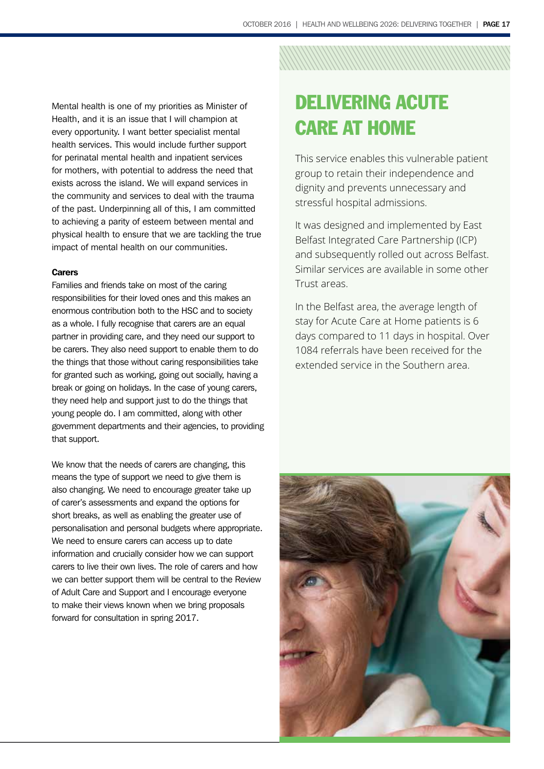Mental health is one of my priorities as Minister of Health, and it is an issue that I will champion at every opportunity. I want better specialist mental health services. This would include further support for perinatal mental health and inpatient services for mothers, with potential to address the need that exists across the island. We will expand services in the community and services to deal with the trauma of the past. Underpinning all of this, I am committed to achieving a parity of esteem between mental and physical health to ensure that we are tackling the true impact of mental health on our communities.

### **Carers**

Families and friends take on most of the caring responsibilities for their loved ones and this makes an enormous contribution both to the HSC and to society as a whole. I fully recognise that carers are an equal partner in providing care, and they need our support to be carers. They also need support to enable them to do the things that those without caring responsibilities take for granted such as working, going out socially, having a break or going on holidays. In the case of young carers, they need help and support just to do the things that young people do. I am committed, along with other government departments and their agencies, to providing that support.

We know that the needs of carers are changing, this means the type of support we need to give them is also changing. We need to encourage greater take up of carer's assessments and expand the options for short breaks, as well as enabling the greater use of personalisation and personal budgets where appropriate. We need to ensure carers can access up to date information and crucially consider how we can support carers to live their own lives. The role of carers and how we can better support them will be central to the Review of Adult Care and Support and I encourage everyone to make their views known when we bring proposals forward for consultation in spring 2017.

## DELIVERING ACUTE CARE AT HOME

This service enables this vulnerable patient group to retain their independence and dignity and prevents unnecessary and stressful hospital admissions.

It was designed and implemented by East Belfast Integrated Care Partnership (ICP) and subsequently rolled out across Belfast. Similar services are available in some other Trust areas.

In the Belfast area, the average length of stay for Acute Care at Home patients is 6 days compared to 11 days in hospital. Over 1084 referrals have been received for the extended service in the Southern area.

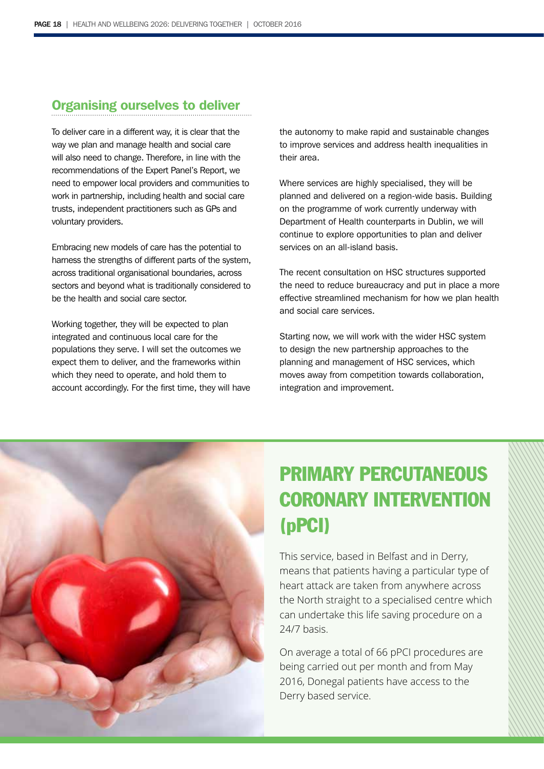### Organising ourselves to deliver

To deliver care in a different way, it is clear that the way we plan and manage health and social care will also need to change. Therefore, in line with the recommendations of the Expert Panel's Report, we need to empower local providers and communities to work in partnership, including health and social care trusts, independent practitioners such as GPs and voluntary providers.

Embracing new models of care has the potential to harness the strengths of different parts of the system, across traditional organisational boundaries, across sectors and beyond what is traditionally considered to be the health and social care sector.

Working together, they will be expected to plan integrated and continuous local care for the populations they serve. I will set the outcomes we expect them to deliver, and the frameworks within which they need to operate, and hold them to account accordingly. For the first time, they will have the autonomy to make rapid and sustainable changes to improve services and address health inequalities in their area.

Where services are highly specialised, they will be planned and delivered on a region-wide basis. Building on the programme of work currently underway with Department of Health counterparts in Dublin, we will continue to explore opportunities to plan and deliver services on an all-island basis.

The recent consultation on HSC structures supported the need to reduce bureaucracy and put in place a more effective streamlined mechanism for how we plan health and social care services.

Starting now, we will work with the wider HSC system to design the new partnership approaches to the planning and management of HSC services, which moves away from competition towards collaboration, integration and improvement.



## PRIMARY PERCUTANEOUS CORONARY INTERVENTION (pPCI)

This service, based in Belfast and in Derry, means that patients having a particular type of heart attack are taken from anywhere across the North straight to a specialised centre which can undertake this life saving procedure on a 24/7 basis.

On average a total of 66 pPCI procedures are being carried out per month and from May 2016, Donegal patients have access to the Derry based service.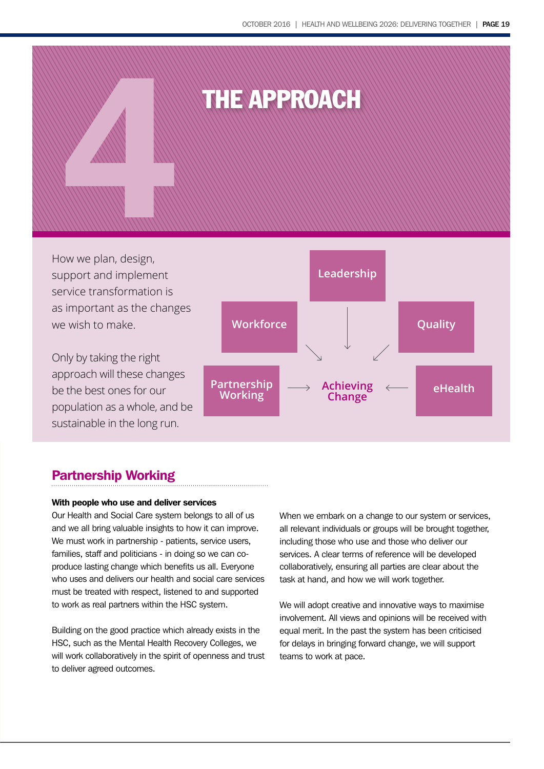

How we plan, design, support and implement service transformation is as important as the changes we wish to make.

Only by taking the right approach will these changes be the best ones for our population as a whole, and be sustainable in the long run.



### Partnership Working

### With people who use and deliver services

Our Health and Social Care system belongs to all of us and we all bring valuable insights to how it can improve. We must work in partnership - patients, service users, families, staff and politicians - in doing so we can coproduce lasting change which benefits us all. Everyone who uses and delivers our health and social care services must be treated with respect, listened to and supported to work as real partners within the HSC system.

Building on the good practice which already exists in the HSC, such as the Mental Health Recovery Colleges, we will work collaboratively in the spirit of openness and trust to deliver agreed outcomes.

When we embark on a change to our system or services, all relevant individuals or groups will be brought together, including those who use and those who deliver our services. A clear terms of reference will be developed collaboratively, ensuring all parties are clear about the task at hand, and how we will work together.

We will adopt creative and innovative ways to maximise involvement. All views and opinions will be received with equal merit. In the past the system has been criticised for delays in bringing forward change, we will support teams to work at pace.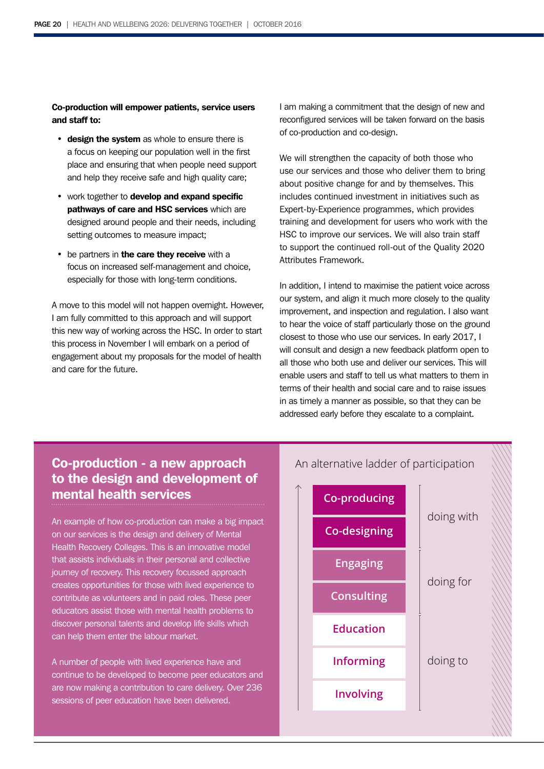Co-production will empower patients, service users and staff to:

- design the system as whole to ensure there is a focus on keeping our population well in the first place and ensuring that when people need support and help they receive safe and high quality care;
- work together to develop and expand specific pathways of care and HSC services which are designed around people and their needs, including setting outcomes to measure impact;
- be partners in the care they receive with a focus on increased self-management and choice, especially for those with long-term conditions.

A move to this model will not happen overnight. However, I am fully committed to this approach and will support this new way of working across the HSC. In order to start this process in November I will embark on a period of engagement about my proposals for the model of health and care for the future.

I am making a commitment that the design of new and reconfigured services will be taken forward on the basis of co-production and co-design.

We will strengthen the capacity of both those who use our services and those who deliver them to bring about positive change for and by themselves. This includes continued investment in initiatives such as Expert-by-Experience programmes, which provides training and development for users who work with the HSC to improve our services. We will also train staff to support the continued roll-out of the Quality 2020 Attributes Framework.

In addition, I intend to maximise the patient voice across our system, and align it much more closely to the quality improvement, and inspection and regulation. I also want to hear the voice of staff particularly those on the ground closest to those who use our services. In early 2017, I will consult and design a new feedback platform open to all those who both use and deliver our services. This will enable users and staff to tell us what matters to them in terms of their health and social care and to raise issues in as timely a manner as possible, so that they can be addressed early before they escalate to a complaint.

### Co-production - a new approach to the design and development of mental health services

An example of how co-production can make a big impact on our services is the design and delivery of Mental Health Recovery Colleges. This is an innovative model that assists individuals in their personal and collective journey of recovery. This recovery focussed approach creates opportunities for those with lived experience to contribute as volunteers and in paid roles. These peer educators assist those with mental health problems to discover personal talents and develop life skills which can help them enter the labour market.

A number of people with lived experience have and continue to be developed to become peer educators and are now making a contribution to care delivery. Over 236 sessions of peer education have been delivered.



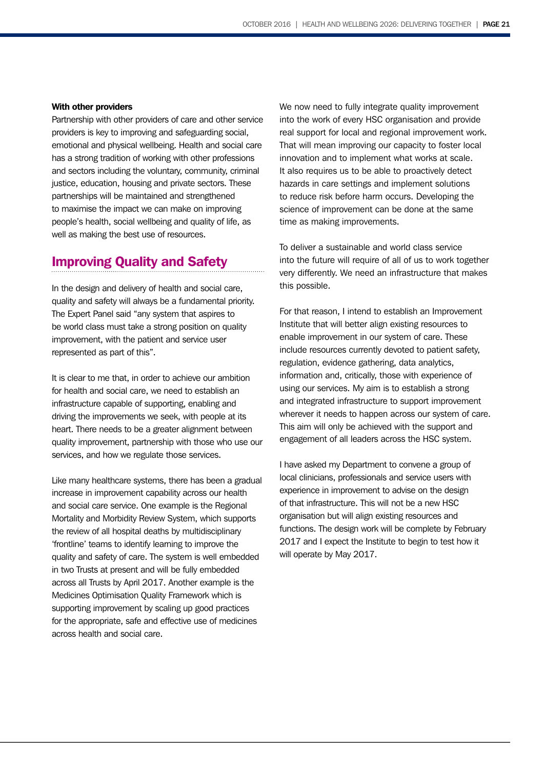### With other providers

Partnership with other providers of care and other service providers is key to improving and safeguarding social, emotional and physical wellbeing. Health and social care has a strong tradition of working with other professions and sectors including the voluntary, community, criminal justice, education, housing and private sectors. These partnerships will be maintained and strengthened to maximise the impact we can make on improving people's health, social wellbeing and quality of life, as well as making the best use of resources.

### Improving Quality and Safety

In the design and delivery of health and social care, quality and safety will always be a fundamental priority. The Expert Panel said "any system that aspires to be world class must take a strong position on quality improvement, with the patient and service user represented as part of this".

It is clear to me that, in order to achieve our ambition for health and social care, we need to establish an infrastructure capable of supporting, enabling and driving the improvements we seek, with people at its heart. There needs to be a greater alignment between quality improvement, partnership with those who use our services, and how we regulate those services.

Like many healthcare systems, there has been a gradual increase in improvement capability across our health and social care service. One example is the Regional Mortality and Morbidity Review System, which supports the review of all hospital deaths by multidisciplinary 'frontline' teams to identify learning to improve the quality and safety of care. The system is well embedded in two Trusts at present and will be fully embedded across all Trusts by April 2017. Another example is the Medicines Optimisation Quality Framework which is supporting improvement by scaling up good practices for the appropriate, safe and effective use of medicines across health and social care.

We now need to fully integrate quality improvement into the work of every HSC organisation and provide real support for local and regional improvement work. That will mean improving our capacity to foster local innovation and to implement what works at scale. It also requires us to be able to proactively detect hazards in care settings and implement solutions to reduce risk before harm occurs. Developing the science of improvement can be done at the same time as making improvements.

To deliver a sustainable and world class service into the future will require of all of us to work together very differently. We need an infrastructure that makes this possible.

For that reason, I intend to establish an Improvement Institute that will better align existing resources to enable improvement in our system of care. These include resources currently devoted to patient safety, regulation, evidence gathering, data analytics, information and, critically, those with experience of using our services. My aim is to establish a strong and integrated infrastructure to support improvement wherever it needs to happen across our system of care. This aim will only be achieved with the support and engagement of all leaders across the HSC system.

I have asked my Department to convene a group of local clinicians, professionals and service users with experience in improvement to advise on the design of that infrastructure. This will not be a new HSC organisation but will align existing resources and functions. The design work will be complete by February 2017 and I expect the Institute to begin to test how it will operate by May 2017.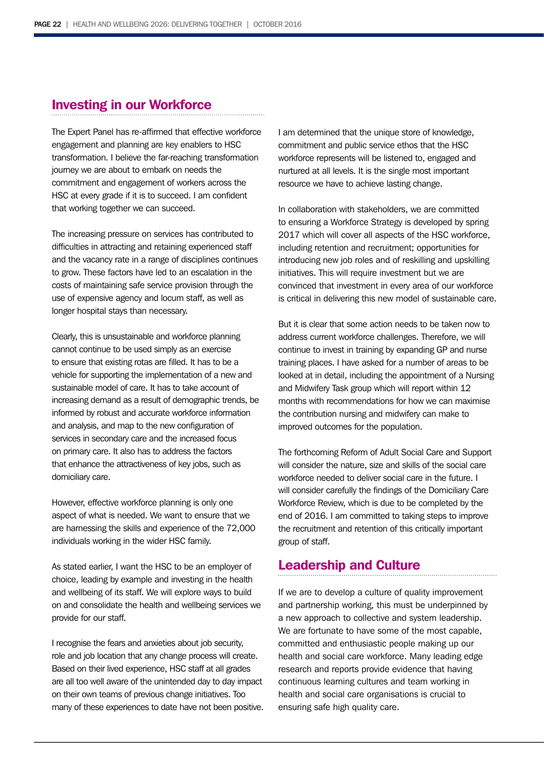### Investing in our Workforce

The Expert Panel has re-affirmed that effective workforce engagement and planning are key enablers to HSC transformation. I believe the far-reaching transformation journey we are about to embark on needs the commitment and engagement of workers across the HSC at every grade if it is to succeed. I am confident that working together we can succeed.

The increasing pressure on services has contributed to difficulties in attracting and retaining experienced staff and the vacancy rate in a range of disciplines continues to grow. These factors have led to an escalation in the costs of maintaining safe service provision through the use of expensive agency and locum staff, as well as longer hospital stays than necessary.

Clearly, this is unsustainable and workforce planning cannot continue to be used simply as an exercise to ensure that existing rotas are filled. It has to be a vehicle for supporting the implementation of a new and sustainable model of care. It has to take account of increasing demand as a result of demographic trends, be informed by robust and accurate workforce information and analysis, and map to the new configuration of services in secondary care and the increased focus on primary care. It also has to address the factors that enhance the attractiveness of key jobs, such as domiciliary care.

However, effective workforce planning is only one aspect of what is needed. We want to ensure that we are harnessing the skills and experience of the 72,000 individuals working in the wider HSC family.

As stated earlier, I want the HSC to be an employer of choice, leading by example and investing in the health and wellbeing of its staff. We will explore ways to build on and consolidate the health and wellbeing services we provide for our staff.

I recognise the fears and anxieties about job security, role and job location that any change process will create. Based on their lived experience, HSC staff at all grades are all too well aware of the unintended day to day impact on their own teams of previous change initiatives. Too many of these experiences to date have not been positive. I am determined that the unique store of knowledge, commitment and public service ethos that the HSC workforce represents will be listened to, engaged and nurtured at all levels. It is the single most important resource we have to achieve lasting change.

In collaboration with stakeholders, we are committed to ensuring a Workforce Strategy is developed by spring 2017 which will cover all aspects of the HSC workforce, including retention and recruitment; opportunities for introducing new job roles and of reskilling and upskilling initiatives. This will require investment but we are convinced that investment in every area of our workforce is critical in delivering this new model of sustainable care.

But it is clear that some action needs to be taken now to address current workforce challenges. Therefore, we will continue to invest in training by expanding GP and nurse training places. I have asked for a number of areas to be looked at in detail, including the appointment of a Nursing and Midwifery Task group which will report within 12 months with recommendations for how we can maximise the contribution nursing and midwifery can make to improved outcomes for the population.

The forthcoming Reform of Adult Social Care and Support will consider the nature, size and skills of the social care workforce needed to deliver social care in the future. I will consider carefully the findings of the Domiciliary Care Workforce Review, which is due to be completed by the end of 2016. I am committed to taking steps to improve the recruitment and retention of this critically important group of staff.

### Leadership and Culture

If we are to develop a culture of quality improvement and partnership working, this must be underpinned by a new approach to collective and system leadership. We are fortunate to have some of the most capable, committed and enthusiastic people making up our health and social care workforce. Many leading edge research and reports provide evidence that having continuous learning cultures and team working in health and social care organisations is crucial to ensuring safe high quality care.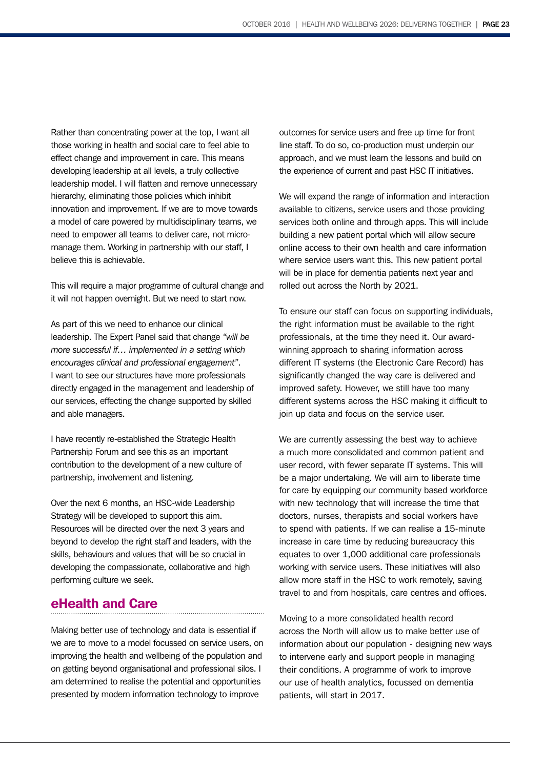Rather than concentrating power at the top, I want all those working in health and social care to feel able to effect change and improvement in care. This means developing leadership at all levels, a truly collective leadership model. I will flatten and remove unnecessary hierarchy, eliminating those policies which inhibit innovation and improvement. If we are to move towards a model of care powered by multidisciplinary teams, we need to empower all teams to deliver care, not micromanage them. Working in partnership with our staff, I believe this is achievable.

This will require a major programme of cultural change and it will not happen overnight. But we need to start now.

As part of this we need to enhance our clinical leadership. The Expert Panel said that change *"will be more successful if… implemented in a setting which encourages clinical and professional engagement"*. I want to see our structures have more professionals directly engaged in the management and leadership of our services, effecting the change supported by skilled and able managers.

I have recently re-established the Strategic Health Partnership Forum and see this as an important contribution to the development of a new culture of partnership, involvement and listening.

Over the next 6 months, an HSC-wide Leadership Strategy will be developed to support this aim. Resources will be directed over the next 3 years and beyond to develop the right staff and leaders, with the skills, behaviours and values that will be so crucial in developing the compassionate, collaborative and high performing culture we seek.

### eHealth and Care

Making better use of technology and data is essential if we are to move to a model focussed on service users, on improving the health and wellbeing of the population and on getting beyond organisational and professional silos. I am determined to realise the potential and opportunities presented by modern information technology to improve

outcomes for service users and free up time for front line staff. To do so, co-production must underpin our approach, and we must learn the lessons and build on the experience of current and past HSC IT initiatives.

We will expand the range of information and interaction available to citizens, service users and those providing services both online and through apps. This will include building a new patient portal which will allow secure online access to their own health and care information where service users want this. This new patient portal will be in place for dementia patients next year and rolled out across the North by 2021.

To ensure our staff can focus on supporting individuals, the right information must be available to the right professionals, at the time they need it. Our awardwinning approach to sharing information across different IT systems (the Electronic Care Record) has significantly changed the way care is delivered and improved safety. However, we still have too many different systems across the HSC making it difficult to join up data and focus on the service user.

We are currently assessing the best way to achieve a much more consolidated and common patient and user record, with fewer separate IT systems. This will be a major undertaking. We will aim to liberate time for care by equipping our community based workforce with new technology that will increase the time that doctors, nurses, therapists and social workers have to spend with patients. If we can realise a 15-minute increase in care time by reducing bureaucracy this equates to over 1,000 additional care professionals working with service users. These initiatives will also allow more staff in the HSC to work remotely, saving travel to and from hospitals, care centres and offices.

Moving to a more consolidated health record across the North will allow us to make better use of information about our population - designing new ways to intervene early and support people in managing their conditions. A programme of work to improve our use of health analytics, focussed on dementia patients, will start in 2017.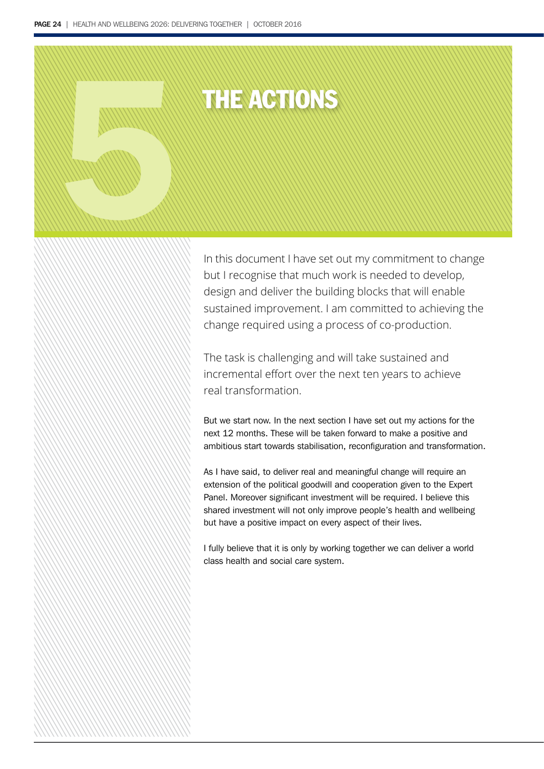# THE ACTIONS 5

In this document I have set out my commitment to change but I recognise that much work is needed to develop, design and deliver the building blocks that will enable sustained improvement. I am committed to achieving the change required using a process of co-production.

The task is challenging and will take sustained and incremental effort over the next ten years to achieve real transformation.

But we start now. In the next section I have set out my actions for the next 12 months. These will be taken forward to make a positive and ambitious start towards stabilisation, reconfiguration and transformation.

As I have said, to deliver real and meaningful change will require an extension of the political goodwill and cooperation given to the Expert Panel. Moreover significant investment will be required. I believe this shared investment will not only improve people's health and wellbeing but have a positive impact on every aspect of their lives.

I fully believe that it is only by working together we can deliver a world class health and social care system.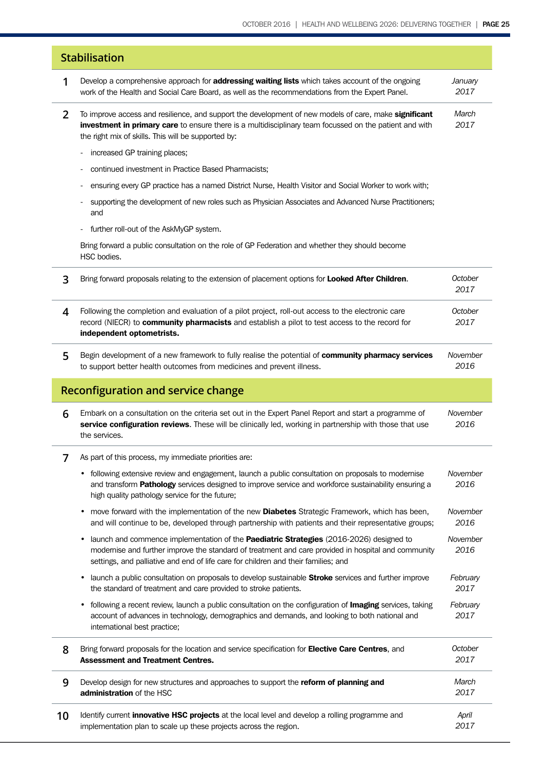| <b>Stabilisation</b>                      |                                                                                                                                                                                                                                                                                                   |                  |  |  |
|-------------------------------------------|---------------------------------------------------------------------------------------------------------------------------------------------------------------------------------------------------------------------------------------------------------------------------------------------------|------------------|--|--|
| 1                                         | Develop a comprehensive approach for <b>addressing waiting lists</b> which takes account of the ongoing<br>work of the Health and Social Care Board, as well as the recommendations from the Expert Panel.                                                                                        | January<br>2017  |  |  |
| 2                                         | To improve access and resilience, and support the development of new models of care, make significant<br>investment in primary care to ensure there is a multidisciplinary team focussed on the patient and with<br>the right mix of skills. This will be supported by:                           | March<br>2017    |  |  |
|                                           | increased GP training places;                                                                                                                                                                                                                                                                     |                  |  |  |
|                                           | continued investment in Practice Based Pharmacists;                                                                                                                                                                                                                                               |                  |  |  |
|                                           | ensuring every GP practice has a named District Nurse, Health Visitor and Social Worker to work with;<br>-                                                                                                                                                                                        |                  |  |  |
|                                           | supporting the development of new roles such as Physician Associates and Advanced Nurse Practitioners;<br>and                                                                                                                                                                                     |                  |  |  |
|                                           | further roll-out of the AskMyGP system.                                                                                                                                                                                                                                                           |                  |  |  |
|                                           | Bring forward a public consultation on the role of GP Federation and whether they should become<br>HSC bodies.                                                                                                                                                                                    |                  |  |  |
| 3                                         | Bring forward proposals relating to the extension of placement options for Looked After Children.                                                                                                                                                                                                 | October<br>2017  |  |  |
| 4                                         | Following the completion and evaluation of a pilot project, roll-out access to the electronic care<br>record (NIECR) to community pharmacists and establish a pilot to test access to the record for<br>independent optometrists.                                                                 | October<br>2017  |  |  |
| 5                                         | Begin development of a new framework to fully realise the potential of community pharmacy services<br>to support better health outcomes from medicines and prevent illness.                                                                                                                       | November<br>2016 |  |  |
| <b>Reconfiguration and service change</b> |                                                                                                                                                                                                                                                                                                   |                  |  |  |
| 6                                         | Embark on a consultation on the criteria set out in the Expert Panel Report and start a programme of<br>service configuration reviews. These will be clinically led, working in partnership with those that use<br>the services.                                                                  | November<br>2016 |  |  |
| 7                                         | As part of this process, my immediate priorities are:                                                                                                                                                                                                                                             |                  |  |  |
|                                           | following extensive review and engagement, launch a public consultation on proposals to modernise<br>$\bullet$<br>and transform Pathology services designed to improve service and workforce sustainability ensuring a<br>high quality pathology service for the future;                          | November<br>2016 |  |  |
|                                           | move forward with the implementation of the new <b>Diabetes</b> Strategic Framework, which has been,<br>$\bullet$<br>and will continue to be, developed through partnership with patients and their representative groups;                                                                        | November<br>2016 |  |  |
|                                           | launch and commence implementation of the Paediatric Strategies (2016-2026) designed to<br>$\bullet$<br>modernise and further improve the standard of treatment and care provided in hospital and community<br>settings, and palliative and end of life care for children and their families; and | November<br>2016 |  |  |
|                                           | launch a public consultation on proposals to develop sustainable <b>Stroke</b> services and further improve<br>$\bullet$<br>the standard of treatment and care provided to stroke patients.                                                                                                       | February<br>2017 |  |  |
|                                           | following a recent review, launch a public consultation on the configuration of <b>Imaging</b> services, taking<br>$\bullet$<br>account of advances in technology, demographics and demands, and looking to both national and<br>international best practice;                                     | February<br>2017 |  |  |
| 8                                         | Bring forward proposals for the location and service specification for Elective Care Centres, and<br><b>Assessment and Treatment Centres.</b>                                                                                                                                                     | October<br>2017  |  |  |
| 9                                         | Develop design for new structures and approaches to support the reform of planning and<br>administration of the HSC                                                                                                                                                                               | March<br>2017    |  |  |
| 10                                        | Identify current <i>innovative HSC projects</i> at the local level and develop a rolling programme and<br>implementation plan to scale up these projects across the region.                                                                                                                       | April<br>2017    |  |  |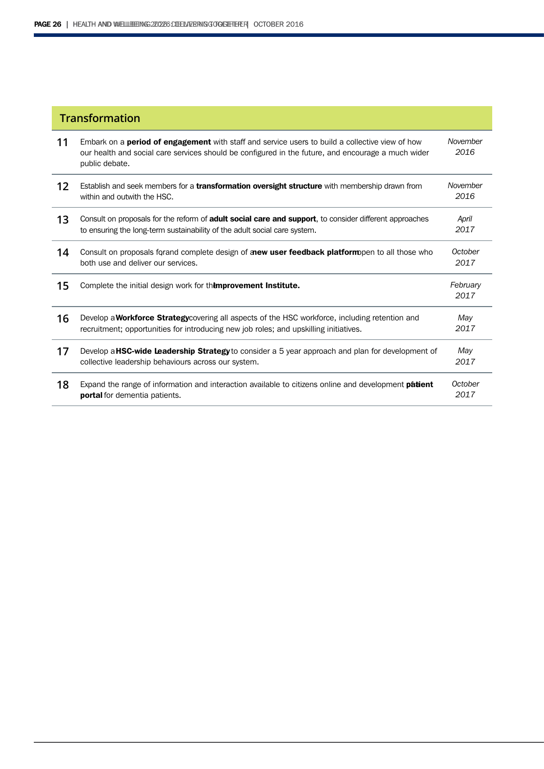| <b>Transformation</b> |                                                                                                                                                                                                                                |                  |  |
|-----------------------|--------------------------------------------------------------------------------------------------------------------------------------------------------------------------------------------------------------------------------|------------------|--|
| 11                    | Embark on a <b>period of engagement</b> with staff and service users to build a collective view of how<br>our health and social care services should be configured in the future, and encourage a much wider<br>public debate. | November<br>2016 |  |
| 12                    | Establish and seek members for a <b>transformation oversight structure</b> with membership drawn from<br>within and outwith the HSC.                                                                                           | November<br>2016 |  |
| 13                    | Consult on proposals for the reform of <b>adult social care and support</b> , to consider different approaches<br>to ensuring the long-term sustainability of the adult social care system.                                    | April<br>2017    |  |
| 14                    | Consult on proposals forand complete design of <b>anew user feedback platform</b> pen to all those who<br>both use and deliver our services.                                                                                   | October<br>2017  |  |
| 15                    | Complete the initial design work for themprovement Institute.                                                                                                                                                                  | February<br>2017 |  |
| 16                    | Develop a <b>Workforce Strategy</b> covering all aspects of the HSC workforce, including retention and<br>recruitment; opportunities for introducing new job roles; and upskilling initiatives.                                | May<br>2017      |  |
| 17                    | Develop a <b>HSC-wide Leadership Strategy</b> to consider a 5 year approach and plan for development of<br>collective leadership behaviours across our system.                                                                 | May<br>2017      |  |
| 18                    | Expand the range of information and interaction available to citizens online and development <b>patient</b><br>portal for dementia patients.                                                                                   | October<br>2017  |  |